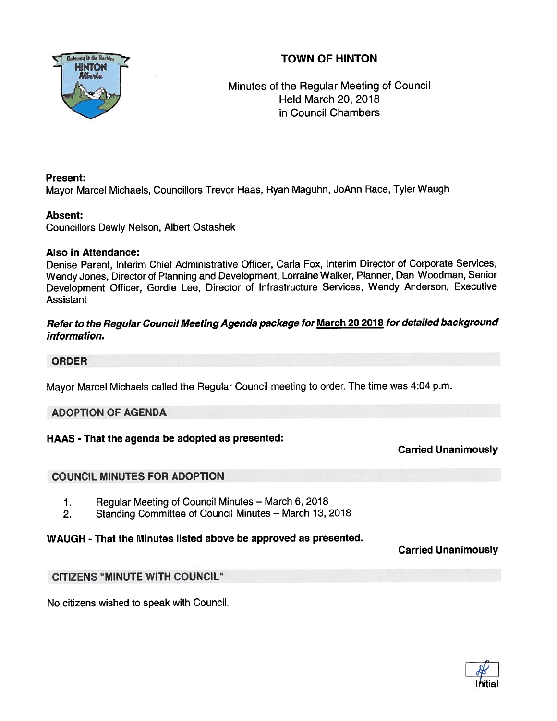# TOWN OF HINTON



# Minutes of the Regular Meeting of Council Held March 20, 2018 in Council Chambers

## Present:

Mayor Marcel Michaels, Councillors Trevor Haas, Ryan Maguhn, JoAnn Race, Tyler Waugh

## Absent:

Councillors Dewly Nelson, Albert Ostashek

## Also in Attendance:

Denise Parent, Interim Chief Administrative Officer, Carla Fox, Interim Director of Corporate Services, Wendy Jones, Director of Planning and Development, Lorraine Walker, Planner, Dani Woodman, Senior Development Officer, Gordie Lee, Director of Infrastructure Services, Wendy Anderson, Executive Assistant

## Refer to the Regular Council Meeting Agenda package for March <sup>20</sup> <sup>2018</sup> for detailed background information.

## ORDER

Mayor Marcel Michaels called the Regular Council meeting to order. The time was 4:04 p.m.

## ADOPTION OF AGENDA

## HAAS - That the agenda be adopted as presented:

Carried Unanimously

## COUNCIL MINUTES FOR ADOPTION

- 1. Regular Meeting of Council Minutes March 6, 2018
- 2. Standing Committee of Council Minutes March 13, 2018

## WAUGH - That the Minutes listed above be approved as presented.

## Carried Unanimously

## CITIZENS "MINUTE WITH COUNCIL"

No citizens wished to speak with Council.

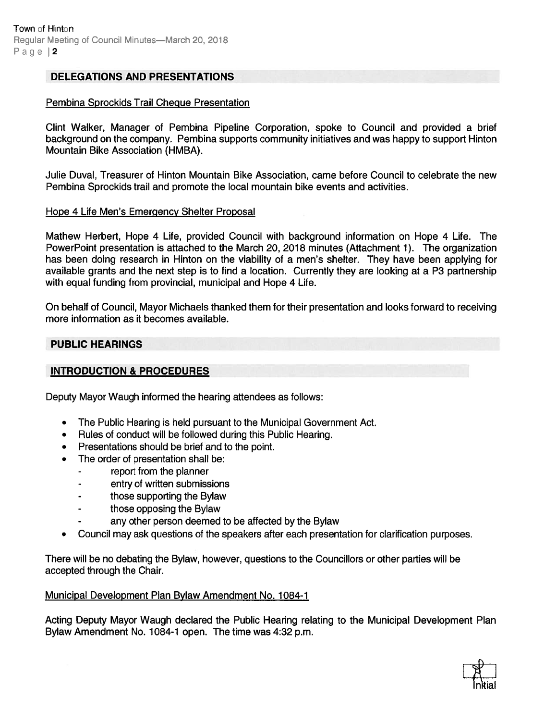## DELEGATIONS AND PRESENTATIONS

#### Pembina Sprockids Trail Cheque Presentation

Clint Walker, Manager of Pembina Pipeline Corporation, spoke to Council and provided <sup>a</sup> brief background on the company. Pembina supports community initiatives and was happy to suppor<sup>t</sup> Hinton Mountain Bike Association (HMBA).

Julie Duval, Treasurer of Hinton Mountain Bike Association, came before Council to celebrate the new Pembina Sprockids trail and promote the local mountain bike events and activities.

#### Hope 4 Life Men's Emergency Shelter Proposal

Mathew Herbert, Hope 4 Life, provided Council with background information on Hope 4 Life. The PowerPoint presentation is attached to the March 20, 2018 minutes (Attachment 1). The organization has been doing research in Hinton on the viability of <sup>a</sup> men's shelter. They have been applying for available grants and the next step is to find <sup>a</sup> location. Currently they are looking at <sup>a</sup> P3 partnership with equal funding from provincial, municipal and Hope 4 Life.

On behalf of Council, Mayor Michaels thanked them for their presentation and looks forward to receiving more information as it becomes available.

#### PUBLIC HEARINGS

#### INTRODUCTION & PROCEDURES

Deputy Mayor Waugh informed the hearing attendees as follows:

- •The Public Hearing is held pursuan<sup>t</sup> to the Municipal Government Act.
- •Rules of conduct will be followed during this Public Hearing.
- Presentations should be brief and to the point.
- The order of presentation shall be:
	- repor<sup>t</sup> from the planner
	- entry of written submissions
	- those supporting the Bylaw
	- those opposing the Bylaw
	- any other person deemed to be affected by the Bylaw
- •Council may ask questions of the speakers after each presentation for clarification purposes.

There will be no debating the Bylaw, however, questions to the Councillors or other parties will be accepted through the Chair.

#### Municipal Development Plan Bylaw Amendment No. 1084-1

Acting Deputy Mayor Waugh declared the Public Hearing relating to the Municipal Development Plan Bylaw Amendment No. 1084-1 open. The time was 4:32 p.m.

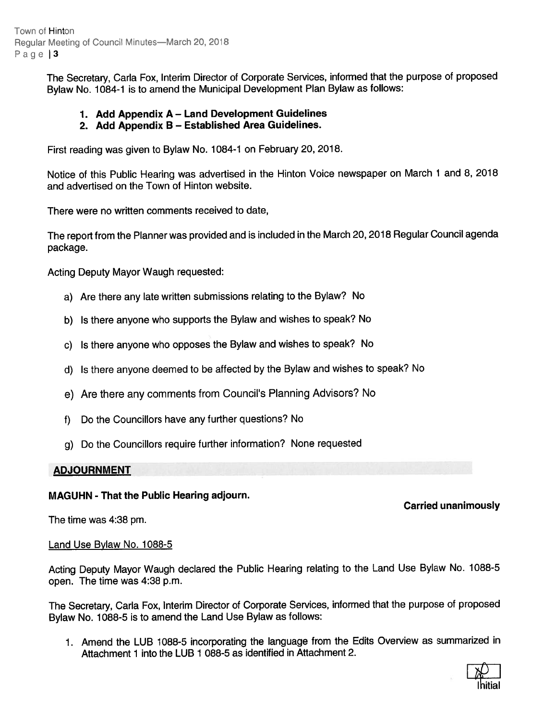Town of Hinton Regular Meeting of Council Minutes—March 20, 2018 Page | 3

> The Secretary, Carla Fox, Interim Director of Corporate Services, informed that the purpose of propose<sup>d</sup> Bylaw No. 1084-1 is to amend the Municipal Development Plan Bylaw as follows:

## 1. Add Appendix <sup>A</sup> — Land Development Guidelines

## 2. Add Appendix <sup>B</sup> — Established Area Guidelines.

First reading was <sup>g</sup>iven to Bylaw No. 1084-1 on February 20, 2018.

Notice of this Public Hearing was advertised in the Hinton Voice newspaper on March <sup>1</sup> and 8, <sup>2018</sup> and advertised on the Town of Hinton website.

There were no written comments received to date,

The repor<sup>t</sup> from the Planner was provided and is included in the March 20,2018 Regular Council agenda package.

Acting Deputy Mayor Waugh requested:

- a) Are there any late written submissions relating to the Bylaw? No
- b) Is there anyone who supports the Bylaw and wishes to speak? No
- c) Is there anyone who opposes the Bylaw and wishes to speak? No
- d) Is there anyone deemed to be affected by the Bylaw and wishes to speak? No
- e) Are there any comments from Council's Planning Advisors? No
- f) Do the Councillors have any further questions? No
- g) Do the Councillors require further information? None requested

#### ADJOURNMENT

## MAGUHN - That the Public Hearing adjourn.

The time was 4:38 pm.

Land Use Bylaw No. 1088-5

Acting Deputy Mayor Waugh declared the Public Hearing relating to the Land Use Bylaw No. 1088-5 open. The time was 4:38 p.m.

The Secretary, Carla Fox, Interim Director of Corporate Services, informed that the purpose of propose<sup>d</sup> Bylaw No. 1088-5 is to amend the Land Use Bylaw as follows:

1. Amend the LUB 1088-5 incorporating the language from the Edits Overview as summarized in Attachment 1 into the LUB 1 088-5 as identified in Attachment 2.



# Carried unanimously

- 
-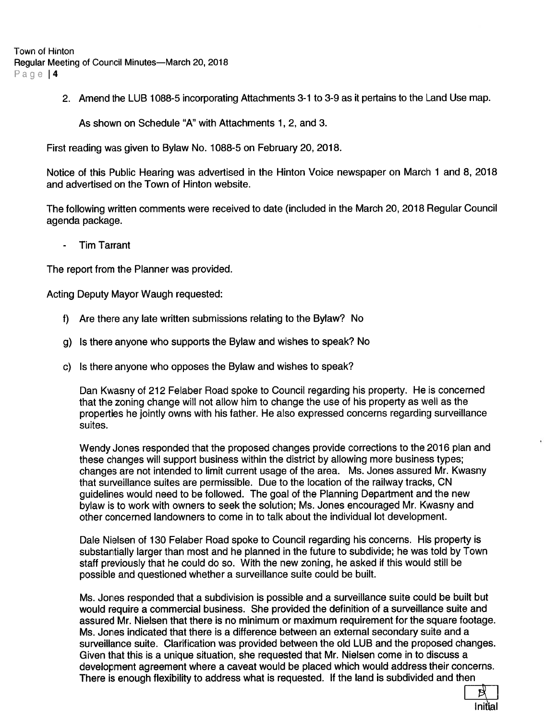**Town of Hinton** Regular Meeting of Council Minutes—March 20, 2018

Page | 4

2. Amend the LUB 1088-5 incorporating Attachments 3-1 to 3-9 as it pertains to the Land Use map.

As shown on Schedule 'A" with Attachments 1, 2, and 3.

First reading was given to Bylaw No. 1088-5 on February 20, 2018.

Notice of this Public Hearing was advertised in the Hinton Voice newspaper on March <sup>1</sup> and 8, 2018 and advertised on the Town of Hinton website.

The following written comments were received to date (included in the March 20, 2018 Regular Council agenda package.

- Tim Tarrant

The repor<sup>t</sup> from the Planner was provided.

Acting Deputy Mayor Waugh requested:

- f) Are there any late written submissions relating to the Bylaw? No
- g) Is there anyone who supports the Bylaw and wishes to speak? No
- c) Is there anyone who opposes the Bylaw and wishes to speak?

Dan Kwasny of 212 Felaber Road spoke to Council regarding his property. He is concerned that the zoning change will not allow him to change the use of his property as well as the properties he jointly owns with his father. He also expressed concerns regarding surveillance suites.

Wendy Jones responded that the proposed changes provide corrections to the 2016 plan and these changes will suppor<sup>t</sup> business within the district by allowing more business types; changes are not intended to limit current usage of the area. Ms. Jones assured Mr. Kwasny that surveillance suites are permissible. Due to the location of the railway tracks, CN guidelines would need to be followed. The goal of the Planning Department and the new bylaw is to work with owners to seek the solution; Ms. Jones encouraged Mr. Kwasny and other concerned landowners to come in to talk about the individual lot development.

Dale Nielsen of 130 Felaber Road spoke to Council regarding his concerns. His property is substantially larger than most and he planned in the future to subdivide; he was told by Town staff previously that he could do so. With the new zoning, he asked if this would still be possible and questioned whether <sup>a</sup> surveillance suite could be built.

Ms. Jones responded that <sup>a</sup> subdivision is possible and <sup>a</sup> surveillance suite could be built but would require <sup>a</sup> commercial business. She provided the definition of <sup>a</sup> surveillance suite and assured Mr. Nielsen that there is no minimum or maximum requirement for the square footage. Ms. Jones indicated that there is <sup>a</sup> difference between an external secondary suite and <sup>a</sup> surveillance suite. Clarification was provided between the old LUB and the proposed changes. Given that this is <sup>a</sup> unique situation, she requested that Mr. Nielsen come in to discuss <sup>a</sup> development agreemen<sup>t</sup> where <sup>a</sup> caveat would be placed which would address their concerns. There is enough flexibility to address what is requested. If the land is subdivided and then

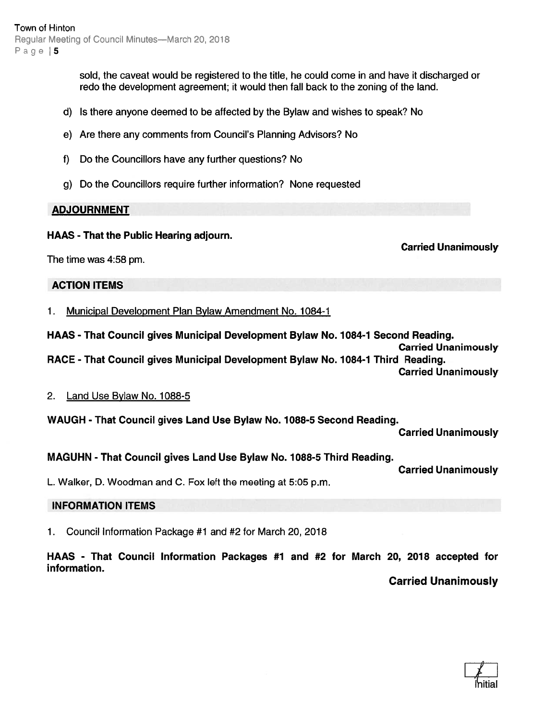sold, the caveat would be registered to the title, he could come in and have it discharged or redo the development agreement; it would then fall back to the zoning of the land.

- d) Is there anyone deemed to be affected by the Bylaw and wishes to speak? No
- e) Are there any comments from Council's Planning Advisors? No
- f) Do the Councillors have any further questions? No
- g) Do the Councillors require further information? None requested

### ADJOURNMENT

### HAAS - That the Public Hearing adjourn.

Carried Unanimously

The time was 4:58 pm.

ACTION ITEMS

1. Municipal Development Plan Bylaw Amendment No. 1084-1

HAAS - That Council gives Municipal Development Bylaw No. 1084-1 Second Reading.

Carried Unanimously RACE - That Council gives Municipal Development Bylaw No. 1084-1 Third Reading.

Carried Unanimously

## 2. Land Use Bylaw No. 1088-5

WAUGH - That Council gives Land Use Bylaw No. 1088-5 Second Reading.

Carried Unanimously

## MAGUHN - That Council gives Land Use Bylaw No. 1088-5 Third Reading.

Carried Unanimously

L. Walker, D. Woodman and C. Fox left the meeting at 5:05 p.m.

## INFORMATION ITEMS

1. Council Information Package #1 and #2 for March 20, 2018

HAAS - That Council Information Packages #1 and #2 for March 20, 2018 accepted for information.

Carried Unanimously

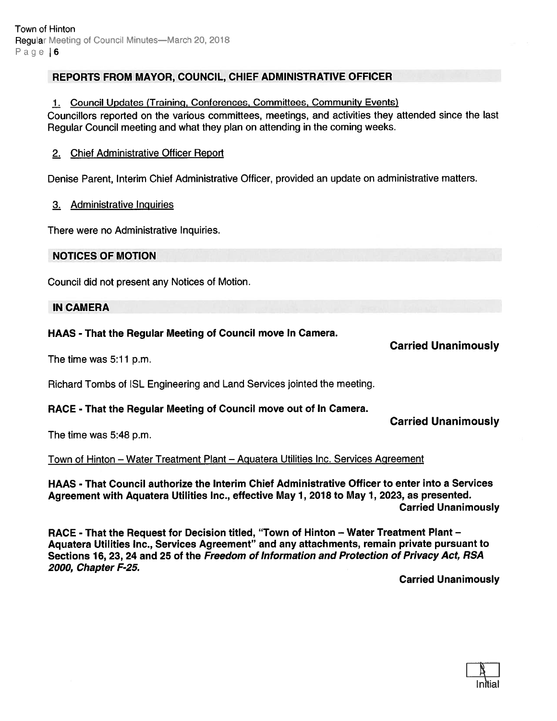## REPORTS FROM MAYOR, COUNCIL, CHIEF ADMINISTRATIVE OFFICER

### 1. Council Updates (Training, Conferences, Committees, Community Events)

Councillors reported on the various committees, meetings, and activities they attended since the last Regular Council meeting and what they <sup>p</sup>lan on attending in the coming weeks.

### 2. Chief Administrative Officer Report

Denise Parent, Interim Chief Administrative Officer, provided an update on administrative matters.

#### 3. Administrative Inguiries

There were no Administrative Inquiries.

## NOTICES OF MOTION

Council did not presen<sup>t</sup> any Notices of Motion.

#### IN CAMERA

### HAAS - That the Regular Meeting of Council move In Camera.

The time was 5:11 p.m.

Richard Tombs of ISL Engineering and Land Services jointed the meeting.

## RACE - That the Regular Meeting of Council move out of In Camera.

The time was 5:48 p.m.

#### Town of Hinton — Water Treatment Plant — Aguatera Utilities Inc. Services Agreement

HAAS - That Council authorize the Interim Chief Administrative Officer to enter into <sup>a</sup> Services Agreement with Aquatera Utilities Inc., effective May 7, 2018 to May 1, 2023, as presented. Carried Unanimously

RACE - That the Request for Decision titled, "Town of Hinton — Water Treatment Plant — Aquatera Utilities Inc., Services Agreement" and any attachments, remain private pursuan<sup>t</sup> to Sections 16, 23, 24 and 25 of the Freedom of Information and Protection of Privacy Act, RSA 2000, Chapter F-25.

Carried Unanimously



Carried Unanimously

Carried Unanimously